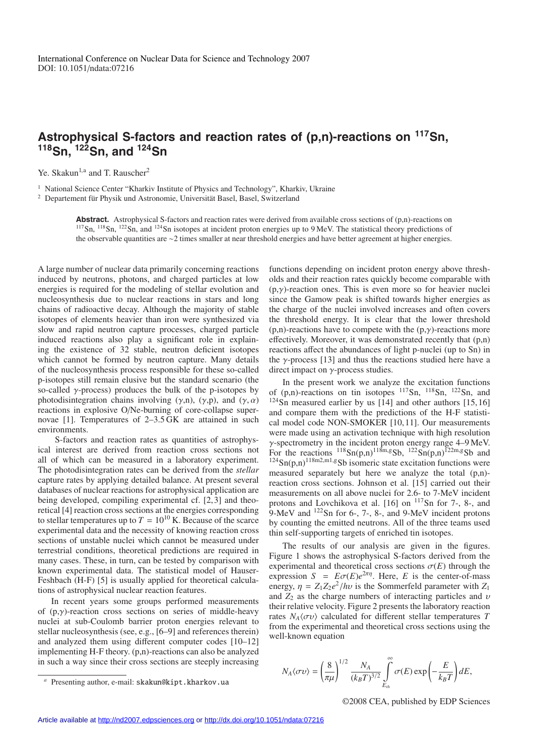## **Astrophysical S-factors and reaction rates of (p,n)-reactions on 117Sn, 118Sn, 122Sn, and 124Sn**

Ye. Skakun<sup>1,a</sup> and T. Rauscher<sup>2</sup>

<sup>1</sup> National Science Center "Kharkiv Institute of Physics and Technology", Kharkiv, Ukraine

 $2$  Departement für Physik und Astronomie, Universität Basel, Basel, Switzerland

Abstract. Astrophysical S-factors and reaction rates were derived from available cross sections of (p,n)-reactions on  $117\text{Sn}$ ,  $118\text{Sn}$ ,  $122\text{Sn}$ , and  $124\text{Sn}$  isotopes at incident proton energies up to 9 MeV. The statistical theory predictions of the observable quantities are ∼2 times smaller at near threshold energies and have better agreement at higher energies.

A large number of nuclear data primarily concerning reactions induced by neutrons, photons, and charged particles at low energies is required for the modeling of stellar evolution and nucleosynthesis due to nuclear reactions in stars and long chains of radioactive decay. Although the majority of stable isotopes of elements heavier than iron were synthesized via slow and rapid neutron capture processes, charged particle induced reactions also play a significant role in explaining the existence of 32 stable, neutron deficient isotopes which cannot be formed by neutron capture. Many details of the nucleosynthesis process responsible for these so-called p-isotopes still remain elusive but the standard scenario (the so-called  $\gamma$ -process) produces the bulk of the p-isotopes by photodisintegration chains involving (γ,n), (γ,p), and (γ,  $\alpha$ ) reactions in explosive O/Ne-burning of core-collapse supernovae [1]. Temperatures of 2–3.5 GK are attained in such environments.

S-factors and reaction rates as quantities of astrophysical interest are derived from reaction cross sections not all of which can be measured in a laboratory experiment. The photodisintegration rates can be derived from the *stellar* capture rates by applying detailed balance. At present several databases of nuclear reactions for astrophysical application are being developed, compiling experimental cf. [2, 3] and theoretical [4] reaction cross sections at the energies corresponding to stellar temperatures up to  $T = 10^{10}$  K. Because of the scarce experimental data and the necessity of knowing reaction cross sections of unstable nuclei which cannot be measured under terrestrial conditions, theoretical predictions are required in many cases. These, in turn, can be tested by comparison with known experimental data. The statistical model of Hauser-Feshbach (H-F) [5] is usually applied for theoretical calculations of astrophysical nuclear reaction features.

In recent years some groups performed measurements of (p,γ)-reaction cross sections on series of middle-heavy nuclei at sub-Coulomb barrier proton energies relevant to stellar nucleosynthesis (see, e.g., [6–9] and references therein) and analyzed them using different computer codes [10–12] implementing H-F theory.  $(p,n)$ -reactions can also be analyzed in such a way since their cross sections are steeply increasing functions depending on incident proton energy above thresholds and their reaction rates quickly become comparable with  $(p, \gamma)$ -reaction ones. This is even more so for heavier nuclei since the Gamow peak is shifted towards higher energies as the charge of the nuclei involved increases and often covers the threshold energy. It is clear that the lower threshold  $(p,n)$ -reactions have to compete with the  $(p,\gamma)$ -reactions more effectively. Moreover, it was demonstrated recently that (p,n) reactions affect the abundances of light p-nuclei (up to Sn) in the  $\gamma$ -process [13] and thus the reactions studied here have a direct impact on  $\gamma$ -process studies.

In the present work we analyze the excitation functions of  $(p,n)$ -reactions on tin isotopes  $\frac{117}{5}$ Sn,  $\frac{118}{5}$ Sn,  $\frac{122}{5}$ Sn, and  $124$ Sn measured earlier by us [14] and other authors [15, 16] and compare them with the predictions of the H-F statistical model code NON-SMOKER [10, 11]. Our measurements were made using an activation technique with high resolution  $\gamma$ -spectrometry in the incident proton energy range 4–9 MeV. For the reactions  $^{118}Sn(p,n)^{118m,g}Sb$ ,  $^{122}Sn(p,n)^{122m,g}Sb$  and  $124$ Sn(p,n)<sup>118m2,m1,g</sup>Sb isomeric state excitation functions were measured separately but here we analyze the total (p,n) reaction cross sections. Johnson et al. [15] carried out their measurements on all above nuclei for 2.6- to 7-MeV incident protons and Lovchikova et al.  $[16]$  on  $^{117}$ Sn for 7-, 8-, and 9-MeV and 122Sn for 6-, 7-, 8-, and 9-MeV incident protons by counting the emitted neutrons. All of the three teams used thin self-supporting targets of enriched tin isotopes.

The results of our analysis are given in the figures. Figure 1 shows the astrophysical S-factors derived from the experimental and theoretical cross sections  $\sigma(E)$  through the expression  $S = E\sigma(E)e^{2\pi\eta}$ . Here, *E* is the center-of-mass energy,  $\eta = Z_1 Z_2 e^2 / h v$  is the Sommerfeld parameter with  $Z_1$ and  $Z_2$  as the charge numbers of interacting particles and  $\nu$ their relative velocity. Figure 2 presents the laboratory reaction rates  $N_A \langle \sigma v \rangle$  calculated for different stellar temperatures *T* from the experimental and theoretical cross sections using the well-known equation

$$
N_A \langle \sigma v \rangle = \left(\frac{8}{\pi \mu}\right)^{1/2} \frac{N_A}{(k_B T)^{3/2}} \int_{E_{th}}^{\infty} \sigma(E) \exp\left(-\frac{E}{k_B T}\right) dE,
$$

©2008 CEA, published by EDP Sciences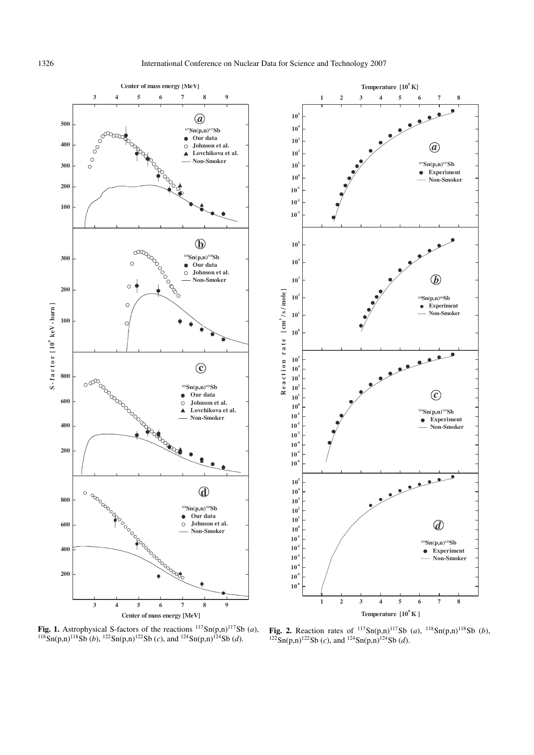



**Fig. 1.** Astrophysical S-factors of the reactions  $^{117}Sn(p,n)^{117}Sb(a)$ , <sup>118</sup>Sn(p,n)<sup>118</sup>Sb (*b*), <sup>122</sup>Sn(p,n)<sup>122</sup>Sb (*c*), and <sup>124</sup>Sn(p,n)<sup>124</sup>Sb (*d*).

**Fig. 2.** Reaction rates of  $^{117}Sn(p,n)^{117}Sb$  (*a*),  $^{118}Sn(p,n)^{118}Sb$  (*b*),  $^{122}$ Sn(p,n)<sup>122</sup>Sb (*c*), and <sup>124</sup>Sn(p,n)<sup>124</sup>Sb (*d*).